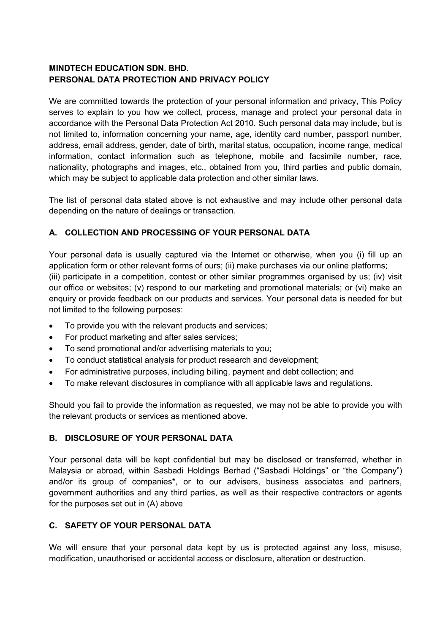## **MINDTECH EDUCATION SDN. BHD. PERSONAL DATA PROTECTION AND PRIVACY POLICY**

We are committed towards the protection of your personal information and privacy, This Policy serves to explain to you how we collect, process, manage and protect your personal data in accordance with the Personal Data Protection Act 2010. Such personal data may include, but is not limited to, information concerning your name, age, identity card number, passport number, address, email address, gender, date of birth, marital status, occupation, income range, medical information, contact information such as telephone, mobile and facsimile number, race, nationality, photographs and images, etc., obtained from you, third parties and public domain, which may be subject to applicable data protection and other similar laws.

The list of personal data stated above is not exhaustive and may include other personal data depending on the nature of dealings or transaction.

# **A. COLLECTION AND PROCESSING OF YOUR PERSONAL DATA**

Your personal data is usually captured via the Internet or otherwise, when you (i) fill up an application form or other relevant forms of ours; (ii) make purchases via our online platforms; (iii) participate in a competition, contest or other similar programmes organised by us; (iv) visit our office or websites; (v) respond to our marketing and promotional materials; or (vi) make an enquiry or provide feedback on our products and services. Your personal data is needed for but not limited to the following purposes:

- To provide you with the relevant products and services;
- For product marketing and after sales services;
- To send promotional and/or advertising materials to you;
- To conduct statistical analysis for product research and development;
- For administrative purposes, including billing, payment and debt collection; and
- To make relevant disclosures in compliance with all applicable laws and regulations.

Should you fail to provide the information as requested, we may not be able to provide you with the relevant products or services as mentioned above.

#### **B. DISCLOSURE OF YOUR PERSONAL DATA**

Your personal data will be kept confidential but may be disclosed or transferred, whether in Malaysia or abroad, within Sasbadi Holdings Berhad ("Sasbadi Holdings" or "the Company") and/or its group of companies\*, or to our advisers, business associates and partners, government authorities and any third parties, as well as their respective contractors or agents for the purposes set out in (A) above

## **C. SAFETY OF YOUR PERSONAL DATA**

We will ensure that your personal data kept by us is protected against any loss, misuse, modification, unauthorised or accidental access or disclosure, alteration or destruction.